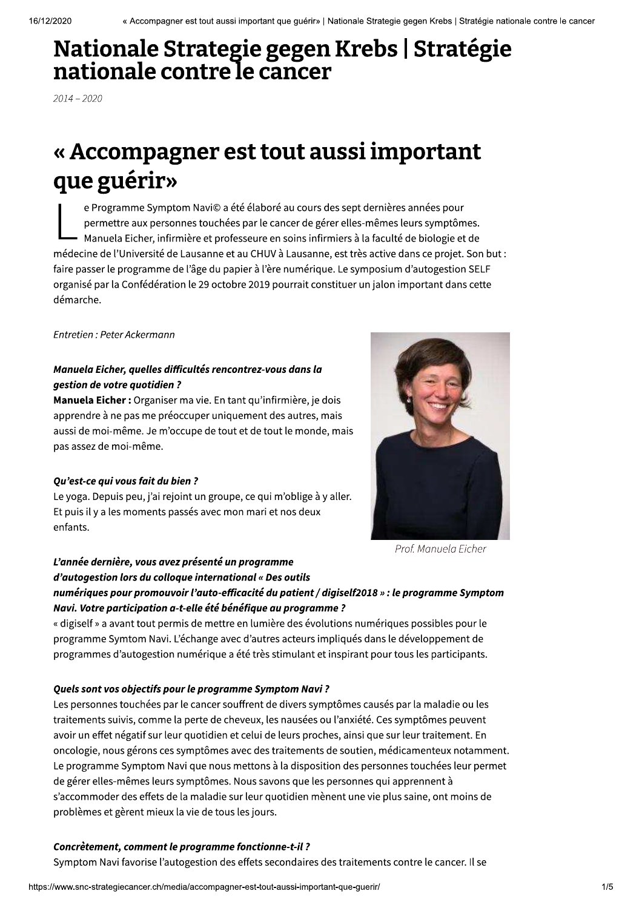# Nationale Strategie gegen Krebs | Stratégie nationale contre le cancer

 $2014 - 2020$ 

# « Accompagner est tout aussi important que guérir»

e Programme Symptom Navi© a été élaboré au cours des sept dernières années pour permettre aux personnes touchées par le cancer de gérer elles-mêmes leurs symptômes. Manuela Eicher, infirmière et professeure en soins infirmiers à la faculté de biologie et de médecine de l'Université de Lausanne et au CHUV à Lausanne, est très active dans ce projet. Son but : faire passer le programme de l'âge du papier à l'ère numérique. Le symposium d'autogestion SELF organisé par la Confédération le 29 octobre 2019 pourrait constituer un jalon important dans cette démarche.

Entretien : Peter Ackermann

### Manuela Eicher, quelles difficultés rencontrez-vous dans la qestion de votre quotidien?

Manuela Eicher: Organiser ma vie. En tant qu'infirmière, je dois apprendre à ne pas me préoccuper uniquement des autres, mais aussi de moi-même. Je m'occupe de tout et de tout le monde, mais pas assez de moi-même.

#### Ou'est-ce qui vous fait du bien?

Le yoga. Depuis peu, j'ai rejoint un groupe, ce qui m'oblige à y aller. Et puis il y a les moments passés avec mon mari et nos deux enfants.



Prof. Manuela Eicher

### L'année dernière, vous avez présenté un programme d'autogestion lors du colloque international « Des outils numériques pour promouvoir l'auto-efficacité du patient / digiself2018 » : le programme Symptom

Navi. Votre participation a-t-elle été bénéfique au programme ? « digiself » a avant tout permis de mettre en lumière des évolutions numériques possibles pour le programme Symtom Navi. L'échange avec d'autres acteurs impliqués dans le développement de programmes d'autogestion numérique a été très stimulant et inspirant pour tous les participants.

#### Quels sont vos objectifs pour le programme Symptom Navi?

Les personnes touchées par le cancer souffrent de divers symptômes causés par la maladie ou les traitements suivis, comme la perte de cheveux, les nausées ou l'anxiété. Ces symptômes peuvent avoir un effet négatif sur leur quotidien et celui de leurs proches, ainsi que sur leur traitement. En oncologie, nous gérons ces symptômes avec des traitements de soutien, médicamenteux notamment. Le programme Symptom Navi que nous mettons à la disposition des personnes touchées leur permet de gérer elles-mêmes leurs symptômes. Nous savons que les personnes qui apprennent à s'accommoder des effets de la maladie sur leur quotidien mènent une vie plus saine, ont moins de problèmes et gèrent mieux la vie de tous les jours.

#### Concrètement, comment le programme fonctionne-t-il ?

Symptom Navi favorise l'autogestion des effets secondaires des traitements contre le cancer. Il se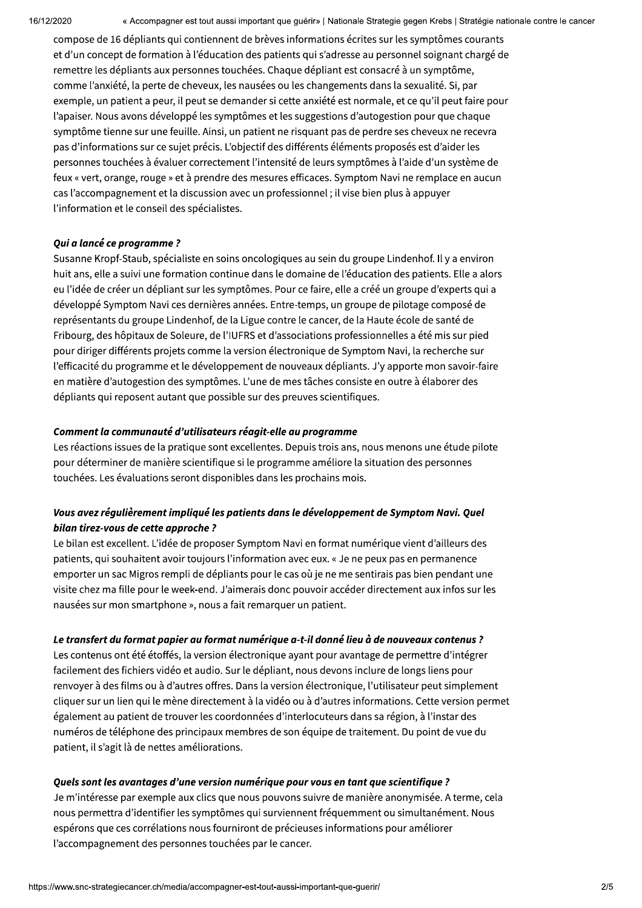« Accompagner est tout aussi important que guérir» | Nationale Strategie gegen Krebs | Stratégie nationale contre le cancer

compose de 16 dépliants qui contiennent de brèves informations écrites sur les symptômes courants et d'un concept de formation à l'éducation des patients qui s'adresse au personnel soignant chargé de remettre les dépliants aux personnes touchées. Chaque dépliant est consacré à un symptôme, comme l'anxiété, la perte de cheveux, les nausées ou les changements dans la sexualité. Si, par exemple, un patient a peur, il peut se demander si cette anxiété est normale, et ce qu'il peut faire pour l'apaiser. Nous avons développé les symptômes et les suggestions d'autogestion pour que chaque symptôme tienne sur une feuille. Ainsi, un patient ne risquant pas de perdre ses cheveux ne recevra pas d'informations sur ce sujet précis. L'objectif des différents éléments proposés est d'aider les personnes touchées à évaluer correctement l'intensité de leurs symptômes à l'aide d'un système de feux « vert, orange, rouge » et à prendre des mesures efficaces. Symptom Navi ne remplace en aucun cas l'accompagnement et la discussion avec un professionnel ; il vise bien plus à appuyer l'information et le conseil des spécialistes.

#### Oui a lancé ce programme?

Susanne Kropf-Staub, spécialiste en soins oncologiques au sein du groupe Lindenhof. Il y a environ huit ans, elle a suivi une formation continue dans le domaine de l'éducation des patients. Elle a alors eu l'idée de créer un dépliant sur les symptômes. Pour ce faire, elle a créé un groupe d'experts qui a développé Symptom Navi ces dernières années. Entre-temps, un groupe de pilotage composé de représentants du groupe Lindenhof, de la Ligue contre le cancer, de la Haute école de santé de Fribourg, des hôpitaux de Soleure, de l'IUFRS et d'associations professionnelles a été mis sur pied pour diriger différents projets comme la version électronique de Symptom Navi, la recherche sur l'efficacité du programme et le développement de nouveaux dépliants. J'y apporte mon savoir-faire en matière d'autogestion des symptômes. L'une de mes tâches consiste en outre à élaborer des dépliants qui reposent autant que possible sur des preuves scientifiques.

#### Comment la communauté d'utilisateurs réagit-elle au programme

Les réactions issues de la pratique sont excellentes. Depuis trois ans, nous menons une étude pilote pour déterminer de manière scientifique si le programme améliore la situation des personnes touchées. Les évaluations seront disponibles dans les prochains mois.

#### Vous avez régulièrement impliqué les patients dans le développement de Symptom Navi. Quel bilan tirez-vous de cette approche?

Le bilan est excellent. L'idée de proposer Symptom Navi en format numérique vient d'ailleurs des patients, qui souhaitent avoir toujours l'information avec eux. « Je ne peux pas en permanence emporter un sac Migros rempli de dépliants pour le cas où je ne me sentirais pas bien pendant une visite chez ma fille pour le week-end. J'aimerais donc pouvoir accéder directement aux infos sur les nausées sur mon smartphone », nous a fait remarquer un patient.

#### Le transfert du format papier au format numérique a-t-il donné lieu à de nouveaux contenus ?

Les contenus ont été étoffés, la version électronique ayant pour avantage de permettre d'intégrer facilement des fichiers vidéo et audio. Sur le dépliant, nous devons inclure de longs liens pour renvoyer à des films ou à d'autres offres. Dans la version électronique, l'utilisateur peut simplement cliquer sur un lien qui le mène directement à la vidéo ou à d'autres informations. Cette version permet également au patient de trouver les coordonnées d'interlocuteurs dans sa région, à l'instar des numéros de téléphone des principaux membres de son équipe de traitement. Du point de vue du patient, il s'agit là de nettes améliorations.

#### Quels sont les avantages d'une version numérique pour vous en tant que scientifique ?

Je m'intéresse par exemple aux clics que nous pouvons suivre de manière anonymisée. A terme, cela nous permettra d'identifier les symptômes qui surviennent fréquemment ou simultanément. Nous espérons que ces corrélations nous fourniront de précieuses informations pour améliorer l'accompagnement des personnes touchées par le cancer.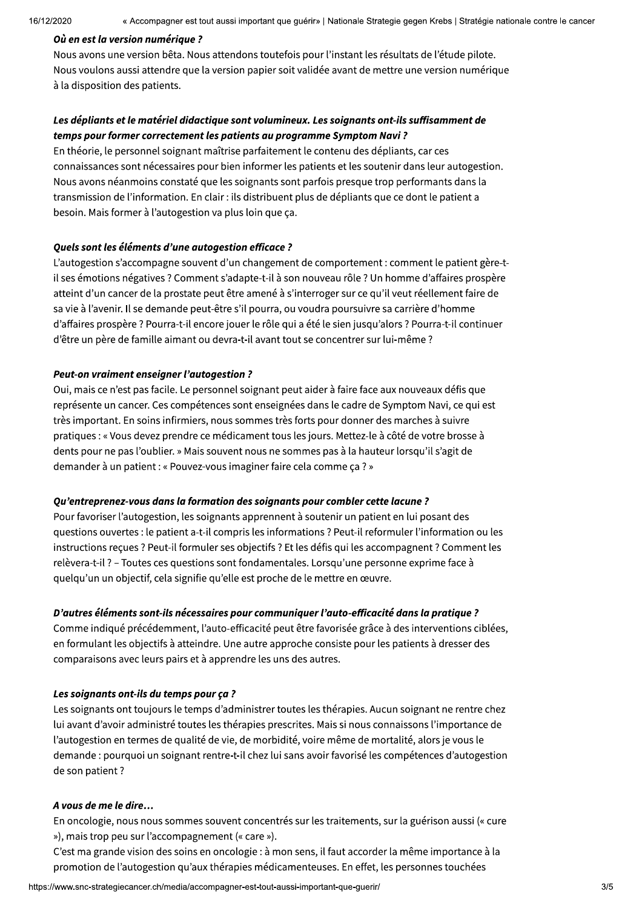$10/12/20$ 

<sup>16/12/2020<br> **Où en est la version numérique ?**<br>
Nous avons une version bêta. Nous attendors toutefois pour l'instant les résultats de l'étude pilote.<br>
Nous voulons aussi attendre que la version papier soit validée avant d</sup>

connaissances sont nécessaires pour bien informer les patients et les soutenir dans leur autogestion. Nous avons néanmoins constaté que les soignants sont parfois presque trop performants dans la transmission de l'information. En clair : ils distribuent plus de dépliants que ce dont le patient a besoin. Mais former à l'autogestion va plus loin que ca.

#### Quels sont les éléments d'une autogestion efficace ?

L'autogestion s'accompagne souvent d'un changement de comportement : comment le patient gère-til ses émotions négatives ? Comment s'adapte-t-il à son nouveau rôle ? Un homme d'affaires prospère atteint d'un cancer de la prostate peut être amené à s'interroger sur ce qu'il veut réellement faire de sa vie à l'avenir. Il se demande peut-être s'il pourra, ou voudra poursuivre sa carrière d'homme d'affaires prospère ? Pourra-t-il encore jouer le rôle qui a été le sien jusqu'alors ? Pourra-t-il continuer d'être un père de famille aimant ou devra-t-il avant tout se concentrer sur lui-même ?

#### Peut-on vraiment enseigner l'autogestion ?

Oui, mais ce n'est pas facile. Le personnel soignant peut aider à faire face aux nouveaux défis que représente un cancer. Ces compétences sont enseignées dans le cadre de Symptom Navi, ce qui est très important. En soins infirmiers, nous sommes très forts pour donner des marches à suivre pratiques : « Vous devez prendre ce médicament tous les jours. Mettez-le à côté de votre brosse à dents pour ne pas l'oublier. » Mais souvent nous ne sommes pas à la hauteur lorsqu'il s'agit de demander à un patient : « Pouvez-vous imaginer faire cela comme ça ? »

#### Qu'entreprenez-vous dans la formation des soignants pour combler cette lacune ?

Pour favoriser l'autogestion, les soignants apprennent à soutenir un patient en lui posant des questions ouvertes : le patient a-t-il compris les informations ? Peut-il reformuler l'information ou les instructions reçues ? Peut-il formuler ses objectifs ? Et les défis qui les accompagnent ? Comment les relèvera-t-il ? – Toutes ces questions sont fondamentales. Lorsqu'une personne exprime face à quelqu'un un objectif, cela signifie qu'elle est proche de le mettre en œuvre.

#### D'autres éléments sont-ils nécessaires pour communiquer l'auto-efficacité dans la pratique ?

Comme indiqué précédemment, l'auto-efficacité peut être favorisée grâce à des interventions ciblées, en formulant les objectifs à atteindre. Une autre approche consiste pour les patients à dresser des comparaisons avec leurs pairs et à apprendre les uns des autres.

#### Les soignants ont-ils du temps pour ca?

Les soignants ont toujours le temps d'administrer toutes les thérapies. Aucun soignant ne rentre chez lui avant d'avoir administré toutes les thérapies prescrites. Mais si nous connaissons l'importance de l'autogestion en termes de qualité de vie, de morbidité, voire même de mortalité, alors je vous le demande : pourquoi un soignant rentre-t-il chez lui sans avoir favorisé les compétences d'autogestion de son patient ?

#### A vous de me le dire...

En oncologie, nous nous sommes souvent concentrés sur les traitements, sur la guérison aussi (« cure »), mais trop peu sur l'accompagnement (« care »).

C'est ma grande vision des soins en oncologie : à mon sens, il faut accorder la même importance à la promotion de l'autogestion qu'aux thérapies médicamenteuses. En effet, les personnes touchées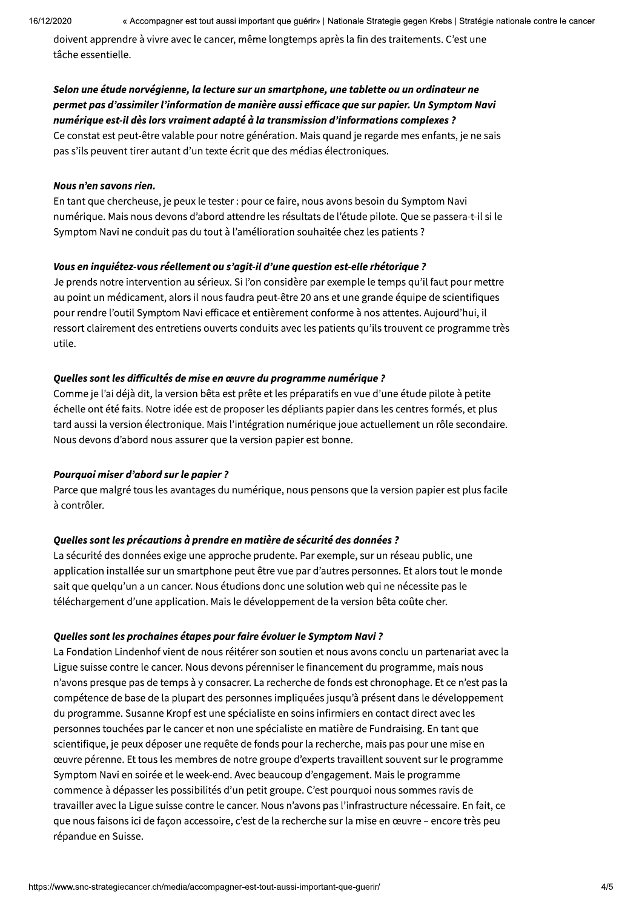16/12/2020

doivent apprendre à vivre avec le cancer, même longtemps après la fin des traitements. C'est une tâche essentielle.

#### Selon une étude norvégienne, la lecture sur un smartphone, une tablette ou un ordinateur ne permet pas d'assimiler l'information de manière aussi efficace que sur papier. Un Symptom Navi numérique est-il dès lors vraiment adapté à la transmission d'informations complexes ?

Ce constat est peut-être valable pour notre génération. Mais quand je regarde mes enfants, je ne sais pas s'ils peuvent tirer autant d'un texte écrit que des médias électroniques.

#### Nous n'en savons rien.

En tant que chercheuse, je peux le tester : pour ce faire, nous avons besoin du Symptom Navi numérique. Mais nous devons d'abord attendre les résultats de l'étude pilote. Que se passera-t-il si le Symptom Navi ne conduit pas du tout à l'amélioration souhaitée chez les patients ?

#### Vous en inquiétez-vous réellement ou s'agit-il d'une question est-elle rhétorique ?

Je prends notre intervention au sérieux. Si l'on considère par exemple le temps qu'il faut pour mettre au point un médicament, alors il nous faudra peut-être 20 ans et une grande équipe de scientifiques pour rendre l'outil Symptom Navi efficace et entièrement conforme à nos attentes. Aujourd'hui, il ressort clairement des entretiens ouverts conduits avec les patients qu'ils trouvent ce programme très utile.

#### Ouelles sont les difficultés de mise en œuvre du programme numérique ?

Comme je l'ai déjà dit, la version bêta est prête et les préparatifs en vue d'une étude pilote à petite échelle ont été faits. Notre idée est de proposer les dépliants papier dans les centres formés, et plus tard aussi la version électronique. Mais l'intégration numérique joue actuellement un rôle secondaire. Nous devons d'abord nous assurer que la version papier est bonne.

#### Pourquoi miser d'abord sur le papier ?

Parce que malgré tous les avantages du numérique, nous pensons que la version papier est plus facile à contrôler.

#### Quelles sont les précautions à prendre en matière de sécurité des données ?

La sécurité des données exige une approche prudente. Par exemple, sur un réseau public, une application installée sur un smartphone peut être vue par d'autres personnes. Et alors tout le monde sait que quelqu'un a un cancer. Nous étudions donc une solution web qui ne nécessite pas le téléchargement d'une application. Mais le développement de la version bêta coûte cher.

#### Quelles sont les prochaines étapes pour faire évoluer le Symptom Navi?

La Fondation Lindenhof vient de nous réitérer son soutien et nous avons conclu un partenariat avec la Ligue suisse contre le cancer. Nous devons pérenniser le financement du programme, mais nous n'avons presque pas de temps à y consacrer. La recherche de fonds est chronophage. Et ce n'est pas la compétence de base de la plupart des personnes impliquées jusqu'à présent dans le développement du programme. Susanne Kropf est une spécialiste en soins infirmiers en contact direct avec les personnes touchées par le cancer et non une spécialiste en matière de Fundraising. En tant que scientifique, je peux déposer une requête de fonds pour la recherche, mais pas pour une mise en œuvre pérenne. Et tous les membres de notre groupe d'experts travaillent souvent sur le programme Symptom Navi en soirée et le week-end. Avec beaucoup d'engagement. Mais le programme commence à dépasser les possibilités d'un petit groupe. C'est pourquoi nous sommes ravis de travailler avec la Ligue suisse contre le cancer. Nous n'avons pas l'infrastructure nécessaire. En fait, ce que nous faisons ici de façon accessoire, c'est de la recherche sur la mise en œuvre - encore très peu répandue en Suisse.